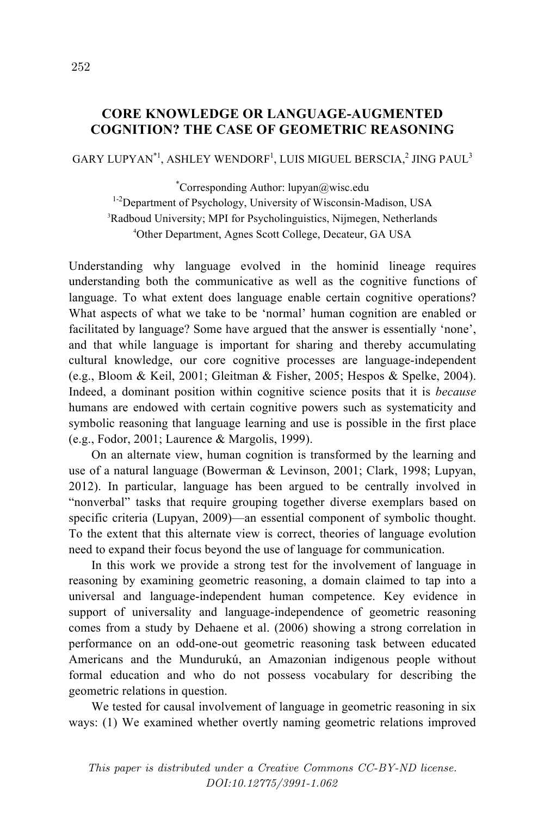## **CORE KNOWLEDGE OR LANGUAGE-AUGMENTED COGNITION? THE CASE OF GEOMETRIC REASONING**

 $\rm GARY$  LUPYAN $^{\rm \ast}{}^{l},$  ASHLEY WENDORF $^{l},$  LUIS MIGUEL BERSCIA, $^{2}$  JING PAUL $^{3}$ 

\* Corresponding Author: lupyan@wisc.edu <sup>1-2</sup>Department of Psychology, University of Wisconsin-Madison, USA 3 Radboud University; MPI for Psycholinguistics, Nijmegen, Netherlands 4 Other Department, Agnes Scott College, Decateur, GA USA

Understanding why language evolved in the hominid lineage requires understanding both the communicative as well as the cognitive functions of language. To what extent does language enable certain cognitive operations? What aspects of what we take to be 'normal' human cognition are enabled or facilitated by language? Some have argued that the answer is essentially 'none', and that while language is important for sharing and thereby accumulating cultural knowledge, our core cognitive processes are language-independent (e.g., Bloom & Keil, 2001; Gleitman & Fisher, 2005; Hespos & Spelke, 2004). Indeed, a dominant position within cognitive science posits that it is *because* humans are endowed with certain cognitive powers such as systematicity and symbolic reasoning that language learning and use is possible in the first place (e.g., Fodor, 2001; Laurence & Margolis, 1999).

On an alternate view, human cognition is transformed by the learning and use of a natural language (Bowerman & Levinson, 2001; Clark, 1998; Lupyan, 2012). In particular, language has been argued to be centrally involved in "nonverbal" tasks that require grouping together diverse exemplars based on specific criteria (Lupyan, 2009)—an essential component of symbolic thought. To the extent that this alternate view is correct, theories of language evolution need to expand their focus beyond the use of language for communication.

In this work we provide a strong test for the involvement of language in reasoning by examining geometric reasoning, a domain claimed to tap into a universal and language-independent human competence. Key evidence in support of universality and language-independence of geometric reasoning comes from a study by Dehaene et al. (2006) showing a strong correlation in performance on an odd-one-out geometric reasoning task between educated Americans and the Mundurukú, an Amazonian indigenous people without formal education and who do not possess vocabulary for describing the geometric relations in question.

We tested for causal involvement of language in geometric reasoning in six ways: (1) We examined whether overtly naming geometric relations improved

This paper is distributed under a Creative Commons CC-BY-ND license. DOI:10.12775/3991-1.062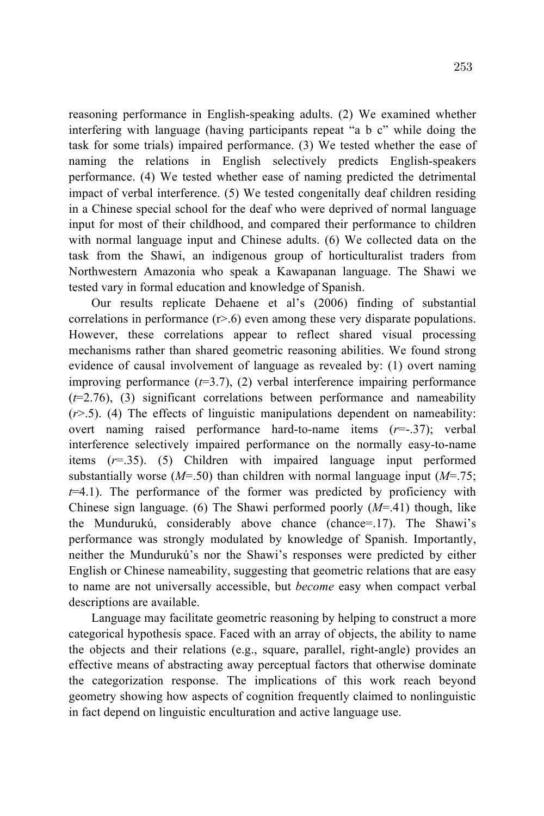reasoning performance in English-speaking adults. (2) We examined whether interfering with language (having participants repeat "a b c" while doing the task for some trials) impaired performance. (3) We tested whether the ease of naming the relations in English selectively predicts English-speakers performance. (4) We tested whether ease of naming predicted the detrimental impact of verbal interference. (5) We tested congenitally deaf children residing in a Chinese special school for the deaf who were deprived of normal language input for most of their childhood, and compared their performance to children with normal language input and Chinese adults. (6) We collected data on the task from the Shawi, an indigenous group of horticulturalist traders from Northwestern Amazonia who speak a Kawapanan language. The Shawi we tested vary in formal education and knowledge of Spanish.

Our results replicate Dehaene et al's (2006) finding of substantial correlations in performance  $(r>0)$  even among these very disparate populations. However, these correlations appear to reflect shared visual processing mechanisms rather than shared geometric reasoning abilities. We found strong evidence of causal involvement of language as revealed by: (1) overt naming improving performance  $(t=3.7)$ ,  $(2)$  verbal interference impairing performance  $(t=2.76)$ , (3) significant correlations between performance and nameability  $(r>0.5)$ . (4) The effects of linguistic manipulations dependent on nameability: overt naming raised performance hard-to-name items (*r*=-.37); verbal interference selectively impaired performance on the normally easy-to-name items (*r*=.35). (5) Children with impaired language input performed substantially worse (*M*=.50) than children with normal language input (*M*=.75; *t*=4.1). The performance of the former was predicted by proficiency with Chinese sign language. (6) The Shawi performed poorly (*M*=.41) though, like the Mundurukú, considerably above chance (chance=.17). The Shawi's performance was strongly modulated by knowledge of Spanish. Importantly, neither the Mundurukú's nor the Shawi's responses were predicted by either English or Chinese nameability, suggesting that geometric relations that are easy to name are not universally accessible, but *become* easy when compact verbal descriptions are available.

Language may facilitate geometric reasoning by helping to construct a more categorical hypothesis space. Faced with an array of objects, the ability to name the objects and their relations (e.g., square, parallel, right-angle) provides an effective means of abstracting away perceptual factors that otherwise dominate the categorization response. The implications of this work reach beyond geometry showing how aspects of cognition frequently claimed to nonlinguistic in fact depend on linguistic enculturation and active language use.